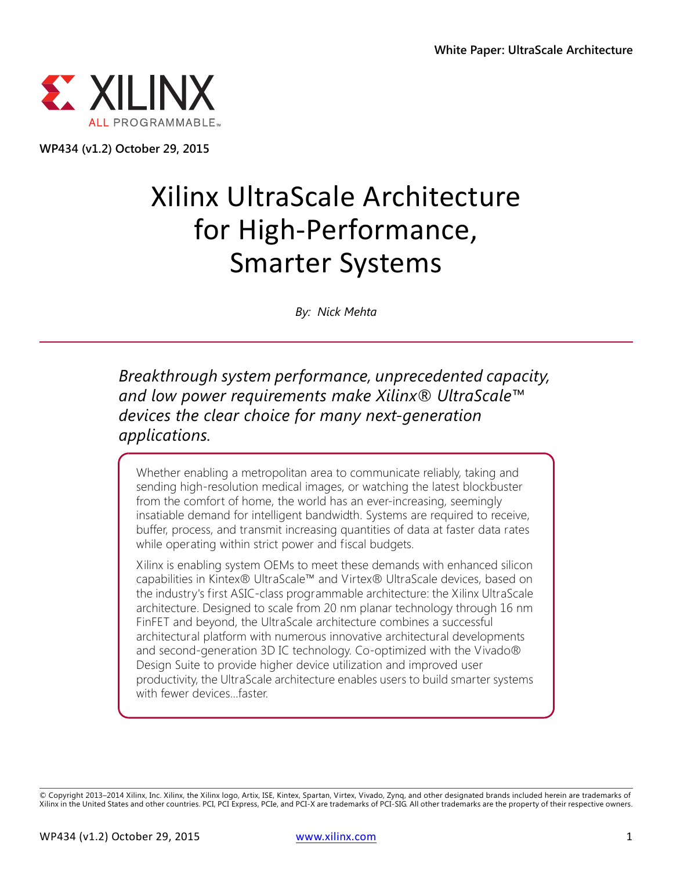

**WP434 (v1.2) October 29, 2015**

# Xilinx UltraScale Architecture for High-Performance, Smarter Systems

*By: Nick Mehta*

*Breakthrough system performance, unprecedented capacity, and low power requirements make Xilinx® UltraScale™ devices the clear choice for many next-generation applications.*

Whether enabling a metropolitan area to communicate reliably, taking and sending high-resolution medical images, or watching the latest blockbuster from the comfort of home, the world has an ever-increasing, seemingly insatiable demand for intelligent bandwidth. Systems are required to receive, buffer, process, and transmit increasing quantities of data at faster data rates while operating within strict power and fiscal budgets.

Xilinx is enabling system OEMs to meet these demands with enhanced silicon capabilities in Kintex® UltraScale™ and Virtex® UltraScale devices, based on the industry's first ASIC-class programmable architecture: the Xilinx UltraScale architecture. Designed to scale from 20 nm planar technology through 16 nm FinFET and beyond, the UltraScale architecture combines a successful architectural platform with numerous innovative architectural developments and second-generation 3D IC technology. Co-optimized with the Vivado® Design Suite to provide higher device utilization and improved user productivity, the UltraScale architecture enables users to build smarter systems with fewer devices…faster.

<sup>©</sup> Copyright 2013–2014 Xilinx, Inc. Xilinx, the Xilinx logo, Artix, ISE, Kintex, Spartan, Virtex, Vivado, Zynq, and other designated brands included herein are trademarks of<br>Xilinx in the United States and other countries.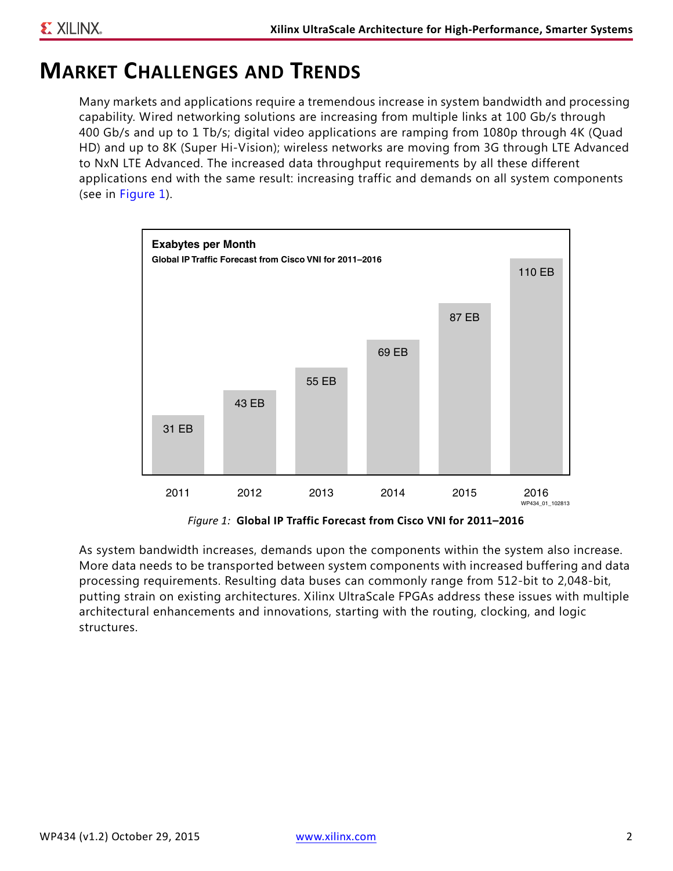## **MARKET CHALLENGES AND TRENDS**

Many markets and applications require a tremendous increase in system bandwidth and processing capability. Wired networking solutions are increasing from multiple links at 100 Gb/s through 400 Gb/s and up to 1 Tb/s; digital video applications are ramping from 1080p through 4K (Quad HD) and up to 8K (Super Hi-Vision); wireless networks are moving from 3G through LTE Advanced to NxN LTE Advanced. The increased data throughput requirements by all these different applications end with the same result: increasing traffic and demands on all system components (see in [Figure 1\)](#page-1-0).

<span id="page-1-0"></span>

*Figure 1:* **Global IP Traffic Forecast from Cisco VNI for 2011–2016**

As system bandwidth increases, demands upon the components within the system also increase. More data needs to be transported between system components with increased buffering and data processing requirements. Resulting data buses can commonly range from 512-bit to 2,048-bit, putting strain on existing architectures. Xilinx UltraScale FPGAs address these issues with multiple architectural enhancements and innovations, starting with the routing, clocking, and logic structures.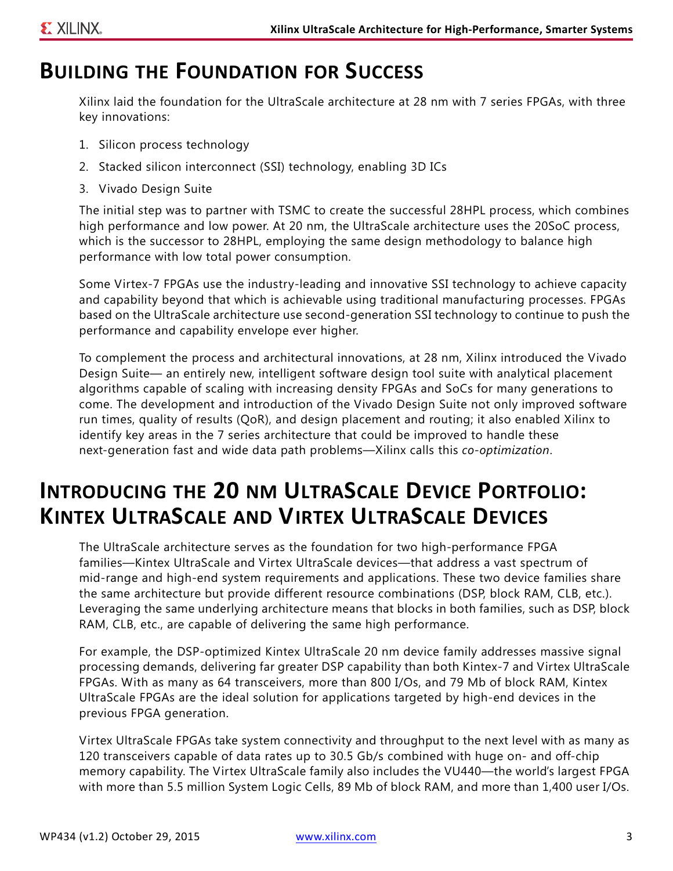## **BUILDING THE FOUNDATION FOR SUCCESS**

Xilinx laid the foundation for the UltraScale architecture at 28 nm with 7 series FPGAs, with three key innovations:

- 1. Silicon process technology
- 2. Stacked silicon interconnect (SSI) technology, enabling 3D ICs
- 3. Vivado Design Suite

The initial step was to partner with TSMC to create the successful 28HPL process, which combines high performance and low power. At 20 nm, the UltraScale architecture uses the 20SoC process, which is the successor to 28HPL, employing the same design methodology to balance high performance with low total power consumption.

Some Virtex-7 FPGAs use the industry-leading and innovative SSI technology to achieve capacity and capability beyond that which is achievable using traditional manufacturing processes. FPGAs based on the UltraScale architecture use second-generation SSI technology to continue to push the performance and capability envelope ever higher.

To complement the process and architectural innovations, at 28 nm, Xilinx introduced the Vivado Design Suite— an entirely new, intelligent software design tool suite with analytical placement algorithms capable of scaling with increasing density FPGAs and SoCs for many generations to come. The development and introduction of the Vivado Design Suite not only improved software run times, quality of results (QoR), and design placement and routing; it also enabled Xilinx to identify key areas in the 7 series architecture that could be improved to handle these next-generation fast and wide data path problems—Xilinx calls this *co-optimization*.

## <span id="page-2-0"></span>**INTRODUCING THE 20 NM ULTRASCALE DEVICE PORTFOLIO: KINTEX ULTRASCALE AND VIRTEX ULTRASCALE DEVICES**

The UltraScale architecture serves as the foundation for two high-performance FPGA families—Kintex UltraScale and Virtex UltraScale devices—that address a vast spectrum of mid-range and high-end system requirements and applications. These two device families share the same architecture but provide different resource combinations (DSP, block RAM, CLB, etc.). Leveraging the same underlying architecture means that blocks in both families, such as DSP, block RAM, CLB, etc., are capable of delivering the same high performance.

For example, the DSP-optimized Kintex UltraScale 20 nm device family addresses massive signal processing demands, delivering far greater DSP capability than both Kintex-7 and Virtex UltraScale FPGAs. With as many as 64 transceivers, more than 800 I/Os, and 79 Mb of block RAM, Kintex UltraScale FPGAs are the ideal solution for applications targeted by high-end devices in the previous FPGA generation.

Virtex UltraScale FPGAs take system connectivity and throughput to the next level with as many as 120 transceivers capable of data rates up to 30.5 Gb/s combined with huge on- and off-chip memory capability. The Virtex UltraScale family also includes the VU440—the world's largest FPGA with more than 5.5 million System Logic Cells, 89 Mb of block RAM, and more than 1,400 user I/Os.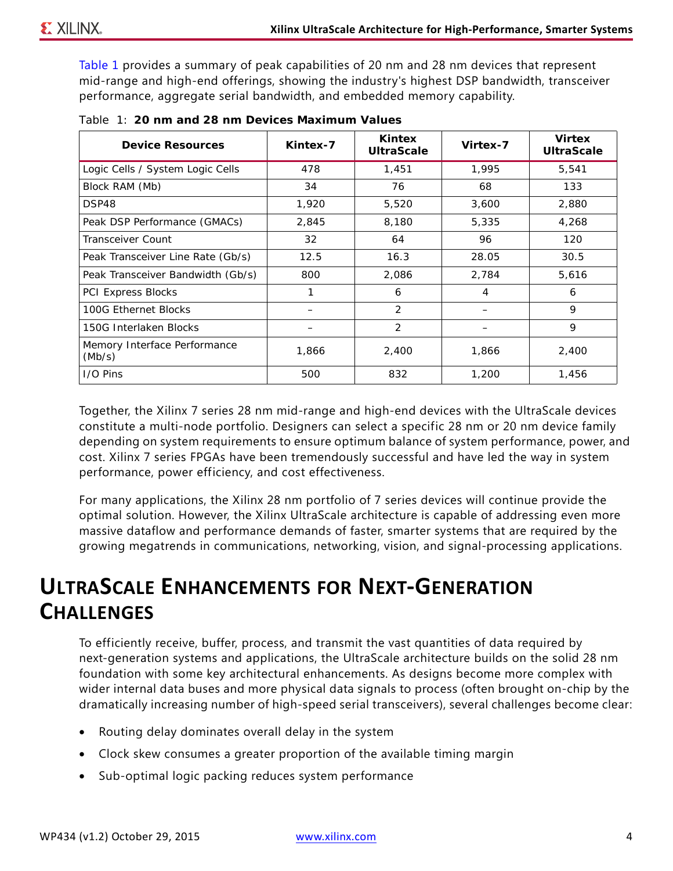[Table 1](#page-3-0) provides a summary of peak capabilities of 20 nm and 28 nm devices that represent mid-range and high-end offerings, showing the industry's highest DSP bandwidth, transceiver performance, aggregate serial bandwidth, and embedded memory capability.

| <b>Device Resources</b>                | Kintex-7 | <b>Kintex</b><br><b>UltraScale</b> | Virtex-7 | <b>Virtex</b><br><b>UltraScale</b> |
|----------------------------------------|----------|------------------------------------|----------|------------------------------------|
| Logic Cells / System Logic Cells       | 478      | 1,451                              | 1,995    | 5,541                              |
| Block RAM (Mb)                         | 34       | 76                                 | 68       | 133                                |
| DSP48                                  | 1,920    | 5,520                              | 3,600    | 2,880                              |
| Peak DSP Performance (GMACs)           | 2,845    | 8,180                              | 5,335    | 4,268                              |
| Transceiver Count                      | 32       | 64                                 | 96       | 120                                |
| Peak Transceiver Line Rate (Gb/s)      | 12.5     | 16.3                               | 28.05    | 30.5                               |
| Peak Transceiver Bandwidth (Gb/s)      | 800      | 2,086                              | 2,784    | 5,616                              |
| PCI Express Blocks                     |          | 6                                  | 4        | 6                                  |
| 100G Ethernet Blocks                   |          | 2                                  |          | 9                                  |
| 150G Interlaken Blocks                 |          | 2                                  |          | 9                                  |
| Memory Interface Performance<br>(Mb/s) | 1,866    | 2,400                              | 1,866    | 2,400                              |
| I/O Pins                               | 500      | 832                                | 1,200    | 1,456                              |

<span id="page-3-0"></span>

|  |  |  |  |  |  | <i>Table 1:</i> 20 nm and 28 nm Devices Maximum Values |  |
|--|--|--|--|--|--|--------------------------------------------------------|--|
|--|--|--|--|--|--|--------------------------------------------------------|--|

Together, the Xilinx 7 series 28 nm mid-range and high-end devices with the UltraScale devices constitute a multi-node portfolio. Designers can select a specific 28 nm or 20 nm device family depending on system requirements to ensure optimum balance of system performance, power, and cost. Xilinx 7 series FPGAs have been tremendously successful and have led the way in system performance, power efficiency, and cost effectiveness.

For many applications, the Xilinx 28 nm portfolio of 7 series devices will continue provide the optimal solution. However, the Xilinx UltraScale architecture is capable of addressing even more massive dataflow and performance demands of faster, smarter systems that are required by the growing megatrends in communications, networking, vision, and signal-processing applications.

## **ULTRASCALE ENHANCEMENTS FOR NEXT-GENERATION CHALLENGES**

To efficiently receive, buffer, process, and transmit the vast quantities of data required by next-generation systems and applications, the UltraScale architecture builds on the solid 28 nm foundation with some key architectural enhancements. As designs become more complex with wider internal data buses and more physical data signals to process (often brought on-chip by the dramatically increasing number of high-speed serial transceivers), several challenges become clear:

- Routing delay dominates overall delay in the system
- Clock skew consumes a greater proportion of the available timing margin
- Sub-optimal logic packing reduces system performance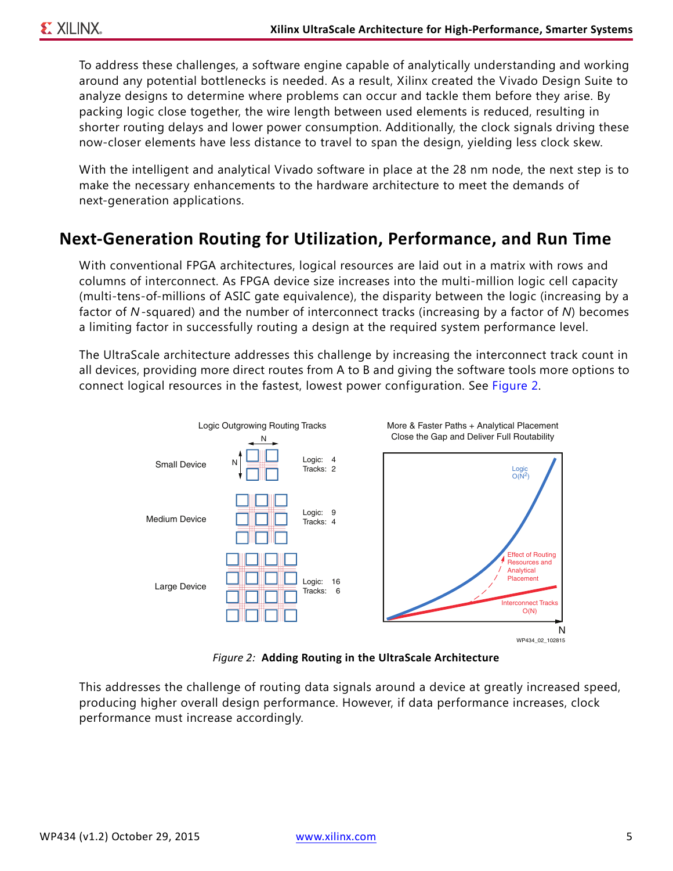To address these challenges, a software engine capable of analytically understanding and working around any potential bottlenecks is needed. As a result, Xilinx created the Vivado Design Suite to analyze designs to determine where problems can occur and tackle them before they arise. By packing logic close together, the wire length between used elements is reduced, resulting in shorter routing delays and lower power consumption. Additionally, the clock signals driving these now-closer elements have less distance to travel to span the design, yielding less clock skew.

With the intelligent and analytical Vivado software in place at the 28 nm node, the next step is to make the necessary enhancements to the hardware architecture to meet the demands of next-generation applications.

### **Next-Generation Routing for Utilization, Performance, and Run Time**

With conventional FPGA architectures, logical resources are laid out in a matrix with rows and columns of interconnect. As FPGA device size increases into the multi-million logic cell capacity (multi-tens-of-millions of ASIC gate equivalence), the disparity between the logic (increasing by a factor of *N*-squared) and the number of interconnect tracks (increasing by a factor of *N*) becomes a limiting factor in successfully routing a design at the required system performance level.

The UltraScale architecture addresses this challenge by increasing the interconnect track count in all devices, providing more direct routes from A to B and giving the software tools more options to connect logical resources in the fastest, lowest power configuration. See [Figure 2.](#page-4-0)

<span id="page-4-0"></span>

*Figure 2:* **Adding Routing in the UltraScale Architecture**

This addresses the challenge of routing data signals around a device at greatly increased speed, producing higher overall design performance. However, if data performance increases, clock performance must increase accordingly.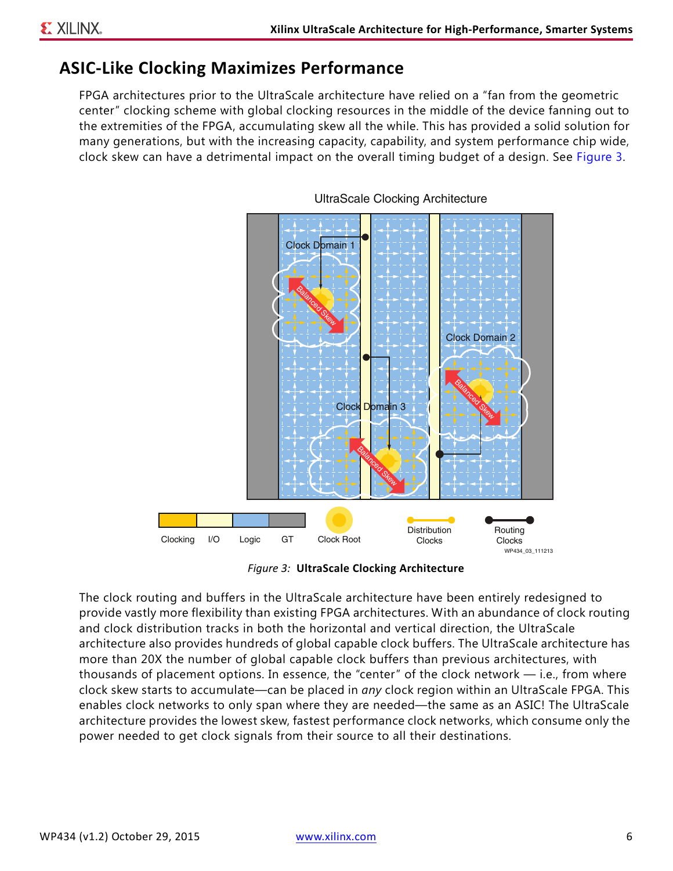### **ASIC-Like Clocking Maximizes Performance**

FPGA architectures prior to the UltraScale architecture have relied on a "fan from the geometric center" clocking scheme with global clocking resources in the middle of the device fanning out to the extremities of the FPGA, accumulating skew all the while. This has provided a solid solution for many generations, but with the increasing capacity, capability, and system performance chip wide, clock skew can have a detrimental impact on the overall timing budget of a design. See [Figure 3.](#page-5-0)

<span id="page-5-0"></span>

UltraScale Clocking Architecture

*Figure 3:* **UltraScale Clocking Architecture**

The clock routing and buffers in the UltraScale architecture have been entirely redesigned to provide vastly more flexibility than existing FPGA architectures. With an abundance of clock routing and clock distribution tracks in both the horizontal and vertical direction, the UltraScale architecture also provides hundreds of global capable clock buffers. The UltraScale architecture has more than 20X the number of global capable clock buffers than previous architectures, with thousands of placement options. In essence, the "center" of the clock network — i.e., from where clock skew starts to accumulate—can be placed in *any* clock region within an UltraScale FPGA. This enables clock networks to only span where they are needed—the same as an ASIC! The UltraScale architecture provides the lowest skew, fastest performance clock networks, which consume only the power needed to get clock signals from their source to all their destinations.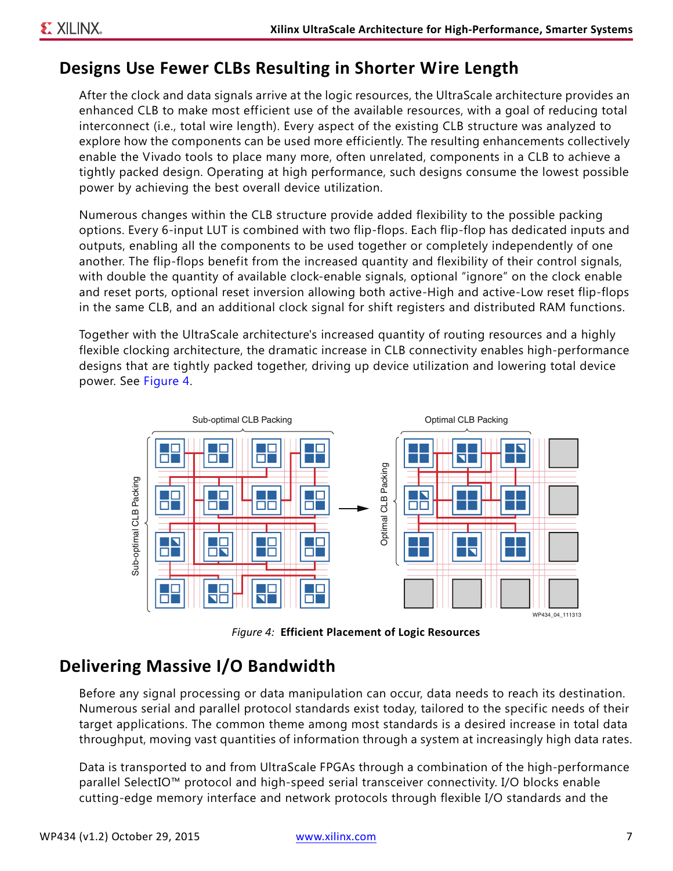### **Designs Use Fewer CLBs Resulting in Shorter Wire Length**

After the clock and data signals arrive at the logic resources, the UltraScale architecture provides an enhanced CLB to make most efficient use of the available resources, with a goal of reducing total interconnect (i.e., total wire length). Every aspect of the existing CLB structure was analyzed to explore how the components can be used more efficiently. The resulting enhancements collectively enable the Vivado tools to place many more, often unrelated, components in a CLB to achieve a tightly packed design. Operating at high performance, such designs consume the lowest possible power by achieving the best overall device utilization.

Numerous changes within the CLB structure provide added flexibility to the possible packing options. Every 6-input LUT is combined with two flip-flops. Each flip-flop has dedicated inputs and outputs, enabling all the components to be used together or completely independently of one another. The flip-flops benefit from the increased quantity and flexibility of their control signals, with double the quantity of available clock-enable signals, optional "ignore" on the clock enable and reset ports, optional reset inversion allowing both active-High and active-Low reset flip-flops in the same CLB, and an additional clock signal for shift registers and distributed RAM functions.

Together with the UltraScale architecture's increased quantity of routing resources and a highly flexible clocking architecture, the dramatic increase in CLB connectivity enables high-performance designs that are tightly packed together, driving up device utilization and lowering total device power. See [Figure 4.](#page-6-0)

<span id="page-6-0"></span>

*Figure 4:* **Efficient Placement of Logic Resources**

### <span id="page-6-1"></span>**Delivering Massive I/O Bandwidth**

Before any signal processing or data manipulation can occur, data needs to reach its destination. Numerous serial and parallel protocol standards exist today, tailored to the specific needs of their target applications. The common theme among most standards is a desired increase in total data throughput, moving vast quantities of information through a system at increasingly high data rates.

Data is transported to and from UltraScale FPGAs through a combination of the high-performance parallel SelectIO™ protocol and high-speed serial transceiver connectivity. I/O blocks enable cutting-edge memory interface and network protocols through flexible I/O standards and the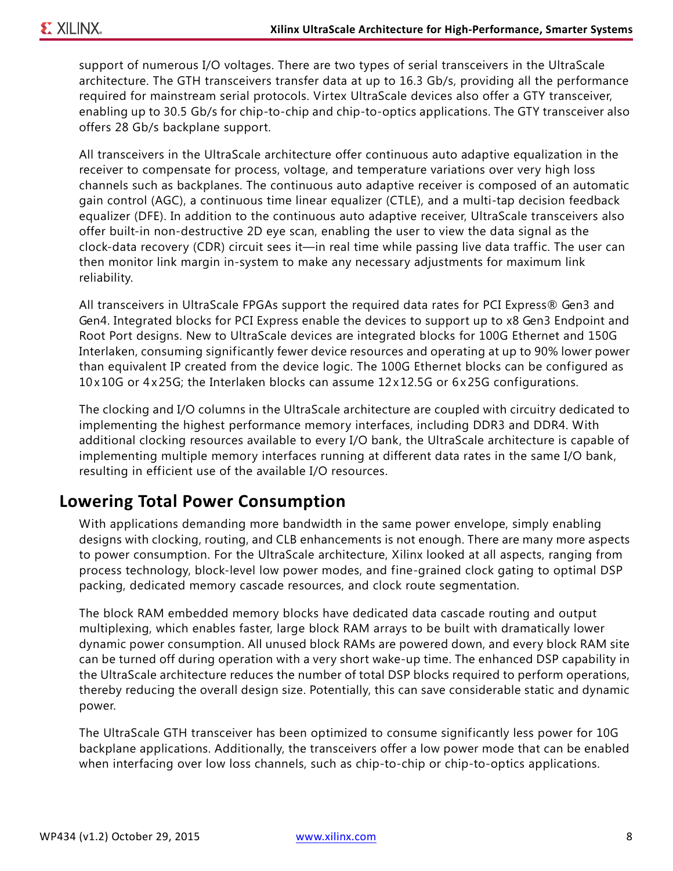support of numerous I/O voltages. There are two types of serial transceivers in the UltraScale architecture. The GTH transceivers transfer data at up to 16.3 Gb/s, providing all the performance required for mainstream serial protocols. Virtex UltraScale devices also offer a GTY transceiver, enabling up to 30.5 Gb/s for chip-to-chip and chip-to-optics applications. The GTY transceiver also offers 28 Gb/s backplane support.

All transceivers in the UltraScale architecture offer continuous auto adaptive equalization in the receiver to compensate for process, voltage, and temperature variations over very high loss channels such as backplanes. The continuous auto adaptive receiver is composed of an automatic gain control (AGC), a continuous time linear equalizer (CTLE), and a multi-tap decision feedback equalizer (DFE). In addition to the continuous auto adaptive receiver, UltraScale transceivers also offer built-in non-destructive 2D eye scan, enabling the user to view the data signal as the clock-data recovery (CDR) circuit sees it—in real time while passing live data traffic. The user can then monitor link margin in-system to make any necessary adjustments for maximum link reliability.

All transceivers in UltraScale FPGAs support the required data rates for PCI Express® Gen3 and Gen4. Integrated blocks for PCI Express enable the devices to support up to x8 Gen3 Endpoint and Root Port designs. New to UltraScale devices are integrated blocks for 100G Ethernet and 150G Interlaken, consuming significantly fewer device resources and operating at up to 90% lower power than equivalent IP created from the device logic. The 100G Ethernet blocks can be configured as 10x10G or 4x25G; the Interlaken blocks can assume 12x12.5G or 6x25G configurations.

The clocking and I/O columns in the UltraScale architecture are coupled with circuitry dedicated to implementing the highest performance memory interfaces, including DDR3 and DDR4. With additional clocking resources available to every I/O bank, the UltraScale architecture is capable of implementing multiple memory interfaces running at different data rates in the same I/O bank, resulting in efficient use of the available I/O resources.

### **Lowering Total Power Consumption**

With applications demanding more bandwidth in the same power envelope, simply enabling designs with clocking, routing, and CLB enhancements is not enough. There are many more aspects to power consumption. For the UltraScale architecture, Xilinx looked at all aspects, ranging from process technology, block-level low power modes, and fine-grained clock gating to optimal DSP packing, dedicated memory cascade resources, and clock route segmentation.

The block RAM embedded memory blocks have dedicated data cascade routing and output multiplexing, which enables faster, large block RAM arrays to be built with dramatically lower dynamic power consumption. All unused block RAMs are powered down, and every block RAM site can be turned off during operation with a very short wake-up time. The enhanced DSP capability in the UltraScale architecture reduces the number of total DSP blocks required to perform operations, thereby reducing the overall design size. Potentially, this can save considerable static and dynamic power.

The UltraScale GTH transceiver has been optimized to consume significantly less power for 10G backplane applications. Additionally, the transceivers offer a low power mode that can be enabled when interfacing over low loss channels, such as chip-to-chip or chip-to-optics applications.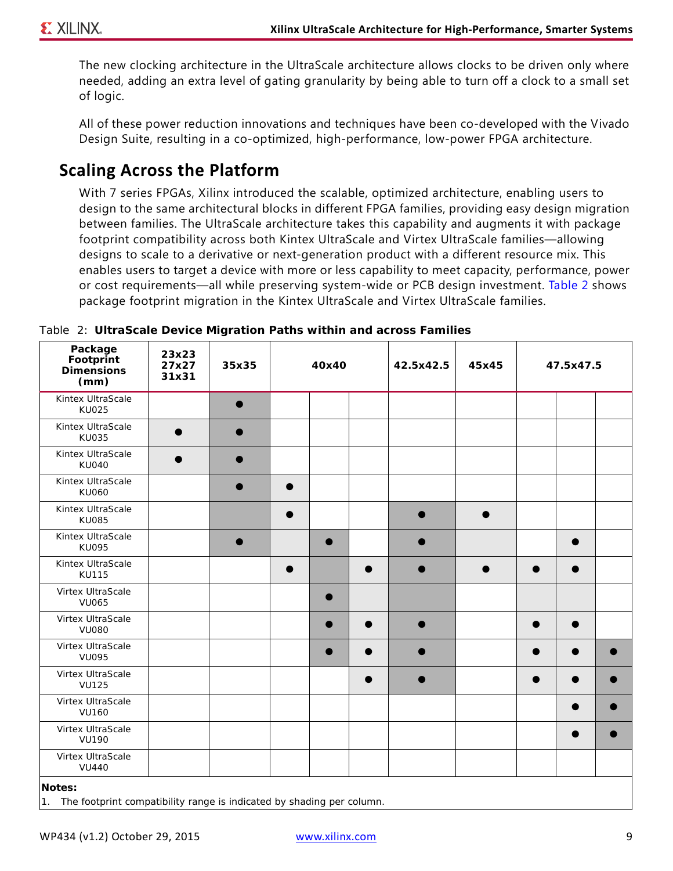The new clocking architecture in the UltraScale architecture allows clocks to be driven only where needed, adding an extra level of gating granularity by being able to turn off a clock to a small set of logic.

All of these power reduction innovations and techniques have been co-developed with the Vivado Design Suite, resulting in a co-optimized, high-performance, low-power FPGA architecture.

### **Scaling Across the Platform**

With 7 series FPGAs, Xilinx introduced the scalable, optimized architecture, enabling users to design to the same architectural blocks in different FPGA families, providing easy design migration between families. The UltraScale architecture takes this capability and augments it with package footprint compatibility across both Kintex UltraScale and Virtex UltraScale families—allowing designs to scale to a derivative or next-generation product with a different resource mix. This enables users to target a device with more or less capability to meet capacity, performance, power or cost requirements—all while preserving system-wide or PCB design investment. [Table 2](#page-8-0) shows package footprint migration in the Kintex UltraScale and Virtex UltraScale families.

| Package<br>Footprint<br><b>Dimensions</b><br>(mm) | 23x23<br>27x27<br>31x31 | 35x35 | 40x40          |  | 42.5x42.5 | 45x45 | 47.5x47.5 |           |  |
|---------------------------------------------------|-------------------------|-------|----------------|--|-----------|-------|-----------|-----------|--|
| Kintex UltraScale<br><b>KU025</b>                 |                         |       |                |  |           |       |           |           |  |
| Kintex UltraScale<br><b>KU035</b>                 |                         | n     |                |  |           |       |           |           |  |
| Kintex UltraScale<br><b>KU040</b>                 |                         |       |                |  |           |       |           |           |  |
| Kintex UltraScale<br><b>KU060</b>                 |                         |       |                |  |           |       |           |           |  |
| Kintex UltraScale<br><b>KU085</b>                 |                         |       |                |  |           |       |           |           |  |
| Kintex UltraScale<br><b>KU095</b>                 |                         |       |                |  |           |       |           | $\bullet$ |  |
| Kintex UltraScale<br><b>KU115</b>                 |                         |       |                |  |           |       | $\bullet$ | $\bullet$ |  |
| Virtex UltraScale<br><b>VU065</b>                 |                         |       |                |  |           |       |           |           |  |
| Virtex UltraScale<br><b>VU080</b>                 |                         |       |                |  |           |       | $\bullet$ | $\bullet$ |  |
| <b>Virtex UltraScale</b><br><b>VU095</b>          |                         |       | $\blacksquare$ |  |           |       |           |           |  |
| Virtex UltraScale<br><b>VU125</b>                 |                         |       |                |  |           |       |           |           |  |
| Virtex UltraScale<br><b>VU160</b>                 |                         |       |                |  |           |       |           | $\bullet$ |  |
| Virtex UltraScale<br><b>VU190</b>                 |                         |       |                |  |           |       |           |           |  |
| Virtex UltraScale<br><b>VU440</b>                 |                         |       |                |  |           |       |           |           |  |

<span id="page-8-0"></span>*Table 2:* **UltraScale Device Migration Paths within and across Families**

#### **Notes:**

1. The footprint compatibility range is indicated by shading per column.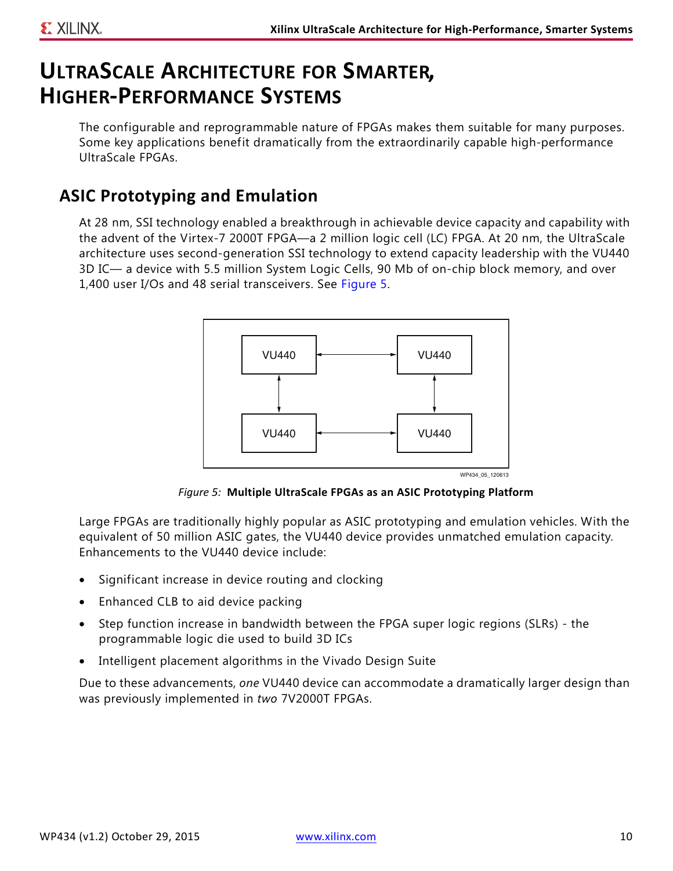## **ULTRASCALE ARCHITECTURE FOR SMARTER, HIGHER-PERFORMANCE SYSTEMS**

The configurable and reprogrammable nature of FPGAs makes them suitable for many purposes. Some key applications benefit dramatically from the extraordinarily capable high-performance UltraScale FPGAs.

### **ASIC Prototyping and Emulation**

<span id="page-9-0"></span>At 28 nm, SSI technology enabled a breakthrough in achievable device capacity and capability with the advent of the Virtex-7 2000T FPGA—a 2 million logic cell (LC) FPGA. At 20 nm, the UltraScale architecture uses second-generation SSI technology to extend capacity leadership with the VU440 3D IC— a device with 5.5 million System Logic Cells, 90 Mb of on-chip block memory, and over 1,400 user I/Os and 48 serial transceivers. See [Figure 5](#page-9-0).



*Figure 5:* **Multiple UltraScale FPGAs as an ASIC Prototyping Platform**

Large FPGAs are traditionally highly popular as ASIC prototyping and emulation vehicles. With the equivalent of 50 million ASIC gates, the VU440 device provides unmatched emulation capacity. Enhancements to the VU440 device include:

- Significant increase in device routing and clocking
- Enhanced CLB to aid device packing
- Step function increase in bandwidth between the FPGA super logic regions (SLRs) the programmable logic die used to build 3D ICs
- Intelligent placement algorithms in the Vivado Design Suite

Due to these advancements, *one* VU440 device can accommodate a dramatically larger design than was previously implemented in *two* 7V2000T FPGAs.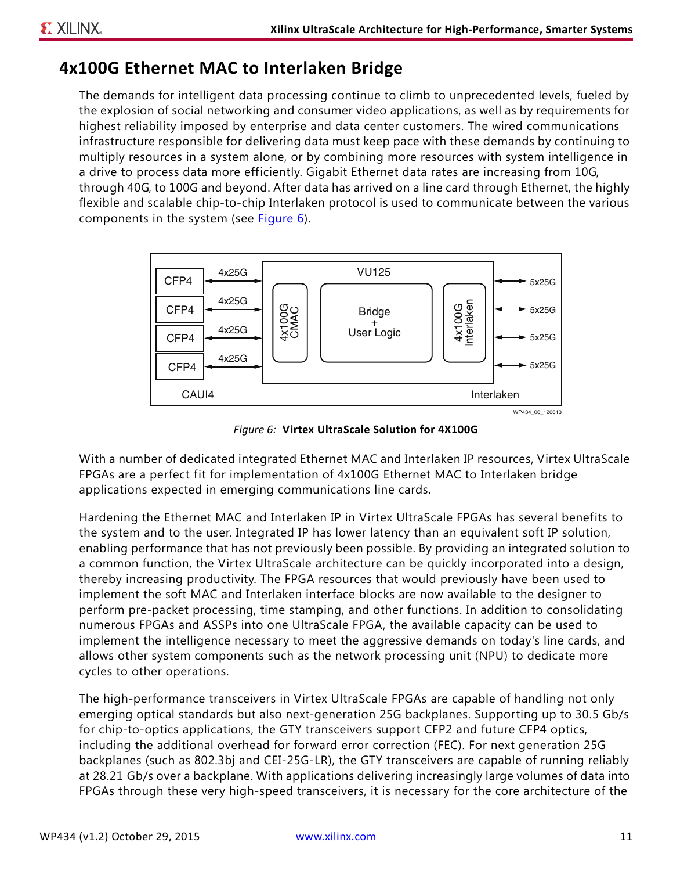### <span id="page-10-1"></span>**4x100G Ethernet MAC to Interlaken Bridge**

The demands for intelligent data processing continue to climb to unprecedented levels, fueled by the explosion of social networking and consumer video applications, as well as by requirements for highest reliability imposed by enterprise and data center customers. The wired communications infrastructure responsible for delivering data must keep pace with these demands by continuing to multiply resources in a system alone, or by combining more resources with system intelligence in a drive to process data more efficiently. Gigabit Ethernet data rates are increasing from 10G, through 40G, to 100G and beyond. After data has arrived on a line card through Ethernet, the highly flexible and scalable chip-to-chip Interlaken protocol is used to communicate between the various components in the system (see [Figure 6\)](#page-10-0).

<span id="page-10-0"></span>

*Figure 6:* **Virtex UltraScale Solution for 4X100G**

With a number of dedicated integrated Ethernet MAC and Interlaken IP resources, Virtex UltraScale FPGAs are a perfect fit for implementation of 4x100G Ethernet MAC to Interlaken bridge applications expected in emerging communications line cards.

Hardening the Ethernet MAC and Interlaken IP in Virtex UltraScale FPGAs has several benefits to the system and to the user. Integrated IP has lower latency than an equivalent soft IP solution, enabling performance that has not previously been possible. By providing an integrated solution to a common function, the Virtex UltraScale architecture can be quickly incorporated into a design, thereby increasing productivity. The FPGA resources that would previously have been used to implement the soft MAC and Interlaken interface blocks are now available to the designer to perform pre-packet processing, time stamping, and other functions. In addition to consolidating numerous FPGAs and ASSPs into one UltraScale FPGA, the available capacity can be used to implement the intelligence necessary to meet the aggressive demands on today's line cards, and allows other system components such as the network processing unit (NPU) to dedicate more cycles to other operations.

The high-performance transceivers in Virtex UltraScale FPGAs are capable of handling not only emerging optical standards but also next-generation 25G backplanes. Supporting up to 30.5 Gb/s for chip-to-optics applications, the GTY transceivers support CFP2 and future CFP4 optics, including the additional overhead for forward error correction (FEC). For next generation 25G backplanes (such as 802.3bj and CEI-25G-LR), the GTY transceivers are capable of running reliably at 28.21 Gb/s over a backplane. With applications delivering increasingly large volumes of data into FPGAs through these very high-speed transceivers, it is necessary for the core architecture of the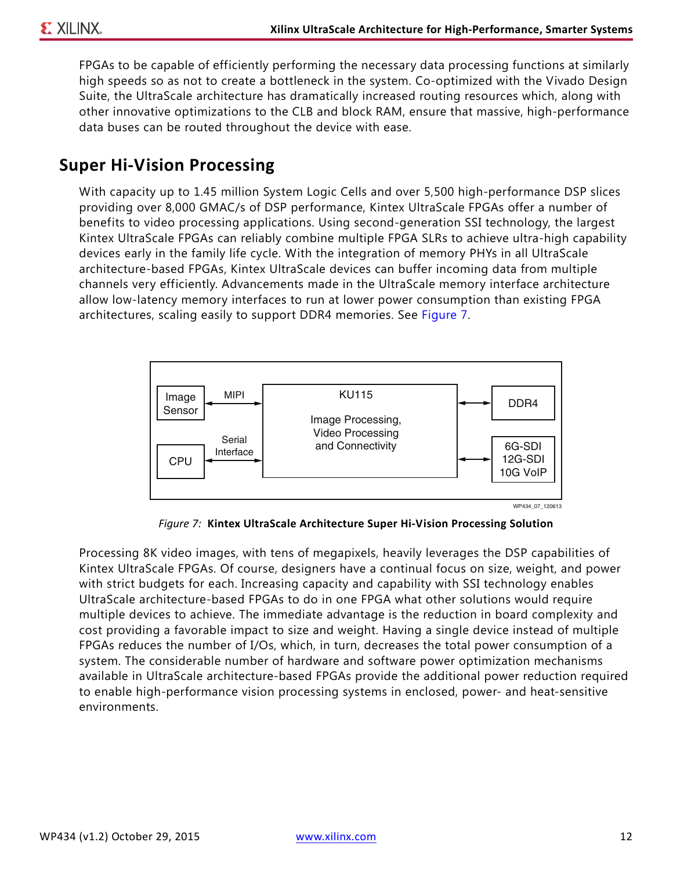FPGAs to be capable of efficiently performing the necessary data processing functions at similarly high speeds so as not to create a bottleneck in the system. Co-optimized with the Vivado Design Suite, the UltraScale architecture has dramatically increased routing resources which, along with other innovative optimizations to the CLB and block RAM, ensure that massive, high-performance data buses can be routed throughout the device with ease.

### **Super Hi-Vision Processing**

With capacity up to 1.45 million System Logic Cells and over 5,500 high-performance DSP slices providing over 8,000 GMAC/s of DSP performance, Kintex UltraScale FPGAs offer a number of benefits to video processing applications. Using second-generation SSI technology, the largest Kintex UltraScale FPGAs can reliably combine multiple FPGA SLRs to achieve ultra-high capability devices early in the family life cycle. With the integration of memory PHYs in all UltraScale architecture-based FPGAs, Kintex UltraScale devices can buffer incoming data from multiple channels very efficiently. Advancements made in the UltraScale memory interface architecture allow low-latency memory interfaces to run at lower power consumption than existing FPGA architectures, scaling easily to support DDR4 memories. See [Figure 7.](#page-11-0)

<span id="page-11-0"></span>

*Figure 7:* **Kintex UltraScale Architecture Super Hi-Vision Processing Solution**

Processing 8K video images, with tens of megapixels, heavily leverages the DSP capabilities of Kintex UltraScale FPGAs. Of course, designers have a continual focus on size, weight, and power with strict budgets for each. Increasing capacity and capability with SSI technology enables UltraScale architecture-based FPGAs to do in one FPGA what other solutions would require multiple devices to achieve. The immediate advantage is the reduction in board complexity and cost providing a favorable impact to size and weight. Having a single device instead of multiple FPGAs reduces the number of I/Os, which, in turn, decreases the total power consumption of a system. The considerable number of hardware and software power optimization mechanisms available in UltraScale architecture-based FPGAs provide the additional power reduction required to enable high-performance vision processing systems in enclosed, power- and heat-sensitive environments.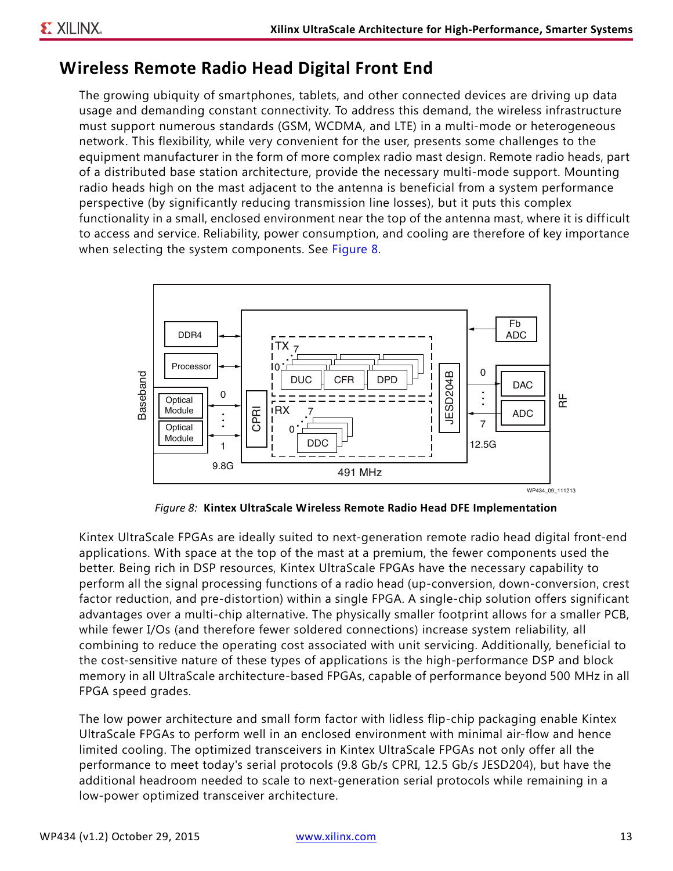### **Wireless Remote Radio Head Digital Front End**

The growing ubiquity of smartphones, tablets, and other connected devices are driving up data usage and demanding constant connectivity. To address this demand, the wireless infrastructure must support numerous standards (GSM, WCDMA, and LTE) in a multi-mode or heterogeneous network. This flexibility, while very convenient for the user, presents some challenges to the equipment manufacturer in the form of more complex radio mast design. Remote radio heads, part of a distributed base station architecture, provide the necessary multi-mode support. Mounting radio heads high on the mast adjacent to the antenna is beneficial from a system performance perspective (by significantly reducing transmission line losses), but it puts this complex functionality in a small, enclosed environment near the top of the antenna mast, where it is difficult to access and service. Reliability, power consumption, and cooling are therefore of key importance when selecting the system components. See [Figure 8](#page-12-0).

<span id="page-12-0"></span>

*Figure 8:* **Kintex UltraScale Wireless Remote Radio Head DFE Implementation**

Kintex UltraScale FPGAs are ideally suited to next-generation remote radio head digital front-end applications. With space at the top of the mast at a premium, the fewer components used the better. Being rich in DSP resources, Kintex UltraScale FPGAs have the necessary capability to perform all the signal processing functions of a radio head (up-conversion, down-conversion, crest factor reduction, and pre-distortion) within a single FPGA. A single-chip solution offers significant advantages over a multi-chip alternative. The physically smaller footprint allows for a smaller PCB, while fewer I/Os (and therefore fewer soldered connections) increase system reliability, all combining to reduce the operating cost associated with unit servicing. Additionally, beneficial to the cost-sensitive nature of these types of applications is the high-performance DSP and block memory in all UltraScale architecture-based FPGAs, capable of performance beyond 500 MHz in all FPGA speed grades.

The low power architecture and small form factor with lidless flip-chip packaging enable Kintex UltraScale FPGAs to perform well in an enclosed environment with minimal air-flow and hence limited cooling. The optimized transceivers in Kintex UltraScale FPGAs not only offer all the performance to meet today's serial protocols (9.8 Gb/s CPRI, 12.5 Gb/s JESD204), but have the additional headroom needed to scale to next-generation serial protocols while remaining in a low-power optimized transceiver architecture.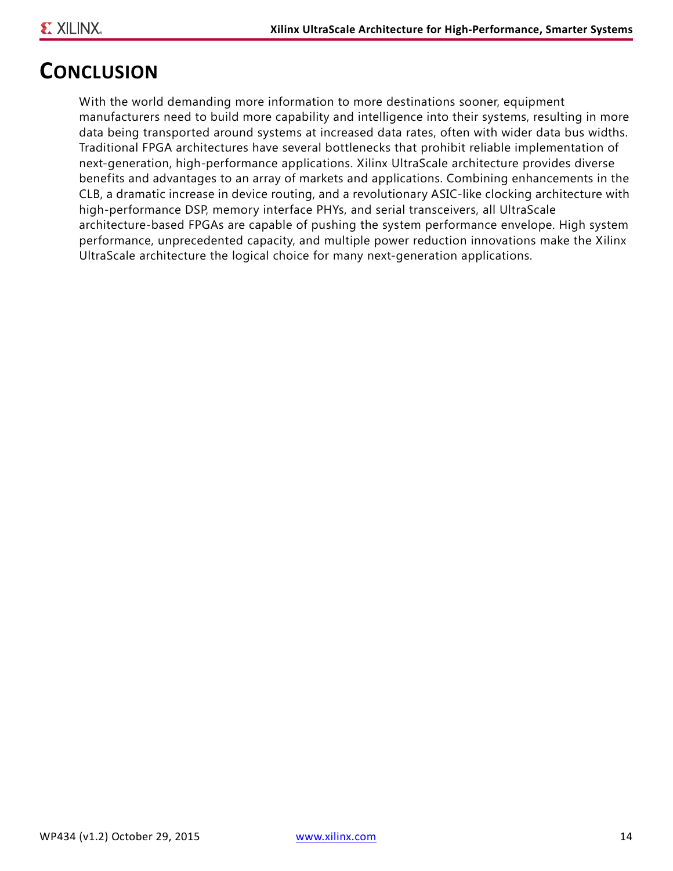## **CONCLUSION**

With the world demanding more information to more destinations sooner, equipment manufacturers need to build more capability and intelligence into their systems, resulting in more data being transported around systems at increased data rates, often with wider data bus widths. Traditional FPGA architectures have several bottlenecks that prohibit reliable implementation of next-generation, high-performance applications. Xilinx UltraScale architecture provides diverse benefits and advantages to an array of markets and applications. Combining enhancements in the CLB, a dramatic increase in device routing, and a revolutionary ASIC-like clocking architecture with high-performance DSP, memory interface PHYs, and serial transceivers, all UltraScale architecture-based FPGAs are capable of pushing the system performance envelope. High system performance, unprecedented capacity, and multiple power reduction innovations make the Xilinx UltraScale architecture the logical choice for many next-generation applications.